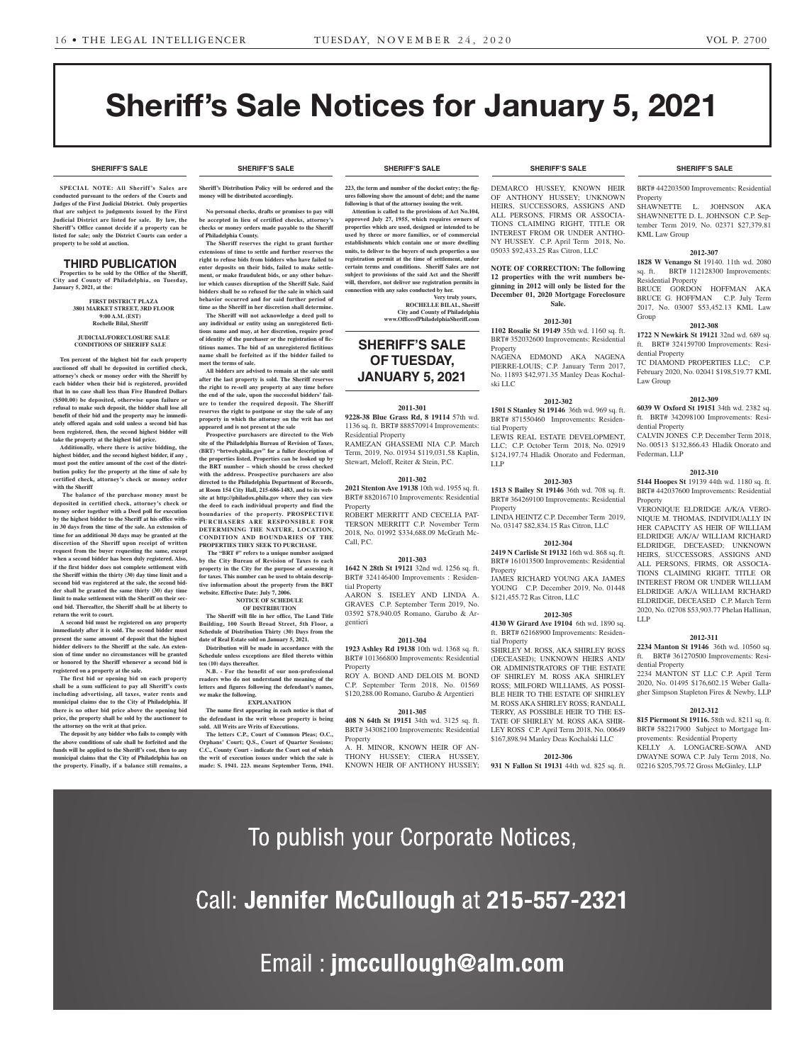**SHERIFF'S SALE SHERIFF'S SALE SHERIFF'S SALE SHERIFF'S SALE SHERIFF'S SALE**

# Sheriff's Sale Notices for January 5, 2021

**SPECIAL NOTE: All Sheriff 's Sales are conducted pursuant to the orders of the Courts and Judges of the First Judicial District. Only properties that are subject to judgments issued by the First Judicial District are listed for sale. By law, the Sheriff's Office cannot decide if a property can be listed for sale; only the District Courts can order a property to be sold at auction.** 

#### THIRD PUBLICATION **Properties to be sold by the Office of the Sheriff,**

**City and County of Philadelphia, on Tuesday, January 5, 2021, at the:** 

#### **FIRST DISTRICT PLAZA 3801 MARKET STREET, 3RD FLOOR 9:00 A.M. (EST) Rochelle Bilal, Sheriff**

#### **JUDICIAL/FORECLOSURE SALE CONDITIONS OF SHERIFF SALE**

**Ten percent of the highest bid for each property auctioned off shall be deposited in certified check, attorney's check or money order with the Sheriff by each bidder when their bid is registered, provided that in no case shall less than Five Hundred Dollars (\$500.00) be deposited, otherwise upon failure or refusal to make such deposit, the bidder shall lose all benefit of their bid and the property may be immediately offered again and sold unless a second bid has been registered, then, the second highest bidder will take the property at the highest bid price.**

**Additionally, where there is active bidding, the highest bidder, and the second highest bidder, if any , must post the entire amount of the cost of the distribution policy for the property at the time of sale by certified check, attorney's check or money order with the Sheriff**

 **The balance of the purchase money must be deposited in certified check, attorney's check or money order together with a Deed poll for execution by the highest bidder to the Sheriff at his office within 30 days from the time of the sale. An extension of time for an additional 30 days may be granted at the discretion of the Sheriff upon receipt of written request from the buyer requesting the same, except when a second bidder has been duly registered. Also, if the first bidder does not complete settlement with the Sheriff within the thirty (30) day time limit and a second bid was registered at the sale, the second bidder shall be granted the same thirty (30) day time limit to make settlement with the Sheriff on their second bid. Thereafter, the Sheriff shall be at liberty to return the writ to court.**

**A second bid must be registered on any property immediately after it is sold. The second bidder must present the same amount of deposit that the highest bidder delivers to the Sheriff at the sale. An extension of time under no circumstances will be granted or honored by the Sheriff whenever a second bid is registered on a property at the sale.** 

**The first bid or opening bid on each property shall be a sum sufficient to pay all Sheriff's costs including advertising, all taxes, water rents and municipal claims due to the City of Philadelphia. If there is no other bid price above the opening bid price, the property shall be sold by the auctioneer to the attorney on the writ at that price.**

**The deposit by any bidder who fails to comply with the above conditions of sale shall be forfeited and the funds will be applied to the Sheriff's cost, then to any municipal claims that the City of Philadelphia has on the property. Finally, if a balance still remains, a** 

## **Sheriff's Distribution Policy will be ordered and the**

**No personal checks, drafts or promises to pay will be accepted in lieu of certified checks, attorney's checks or money orders made payable to the Sheriff** 

**money will be distributed accordingly.**

**of Philadelphia County. The Sheriff reserves the right to grant further extensions of time to settle and further reserves the right to refuse bids from bidders who have failed to enter deposits on their bids, failed to make settlement, or make fraudulent bids, or any other behavior which causes disruption of the Sheriff Sale. Said bidders shall be so refused for the sale in which said behavior occurred and for said further period of time as the Sheriff in her discretion shall determine.**

**The Sheriff will not acknowledge a deed poll to any individual or entity using an unregistered fictitious name and may, at her discretion, require proof of identity of the purchaser or the registration of fictitious names. The bid of an unregistered fictitious name shall be forfeited as if the bidder failed to meet the terms of sale.**

**All bidders are advised to remain at the sale until after the last property is sold. The Sheriff reserves the right to re-sell any property at any time before the end of the sale, upon the successful bidders' failure to tender the required deposit. The Sheriff reserves the right to postpone or stay the sale of any property in which the attorney on the writ has not appeared and is not present at the sale**

**Prospective purchasers are directed to the Web site of the Philadelphia Bureau of Revision of Taxes, (BRT) "brtweb.phila.gov" for a fuller description of the properties listed. Properties can be looked up by the BRT number – which should be cross checked with the address. Prospective purchasers are also directed to the Philadelphia Department of Records, at Room 154 City Hall, 215-686-1483, and to its website at http://philadox.phila.gov where they can view the deed to each individual property and find the boundaries of the property. PROSPECTIVE PURCHASERS ARE RESPONSIBLE FOR DETERMINING THE NATURE, LOCATION, CONDITION AND BOUNDARIES OF THE PROPERTIES THEY SEEK TO PURCHASE.**

 **The "BRT #" refers to a unique number assigned by the City Bureau of Revision of Taxes to each property in the City for the purpose of assessing it** 

**Distribution will be made in accordance with the Schedule unless exceptions are filed thereto within ten (10) days thereafter.**

**readers who do not understand the meaning of the letters and figures following the defendant's names, we make the following.**

**the defendant in the writ whose property is being** 

**The letters C.P., Court of Common Pleas; O.C.,** 

**SHERIFF'S SALE SHERIFF'S SALE SHERIFF'S SALE SHERIFF'S SALE SHERIFF'S SALE**

**223, the term and number of the docket entry; the figures following show the amount of debt; and the name following is that of the attorney issuing the writ.**

**Attention is called to the provisions of Act No.104, approved July 27, 1955, which requires owners of properties which are used, designed or intended to be used by three or more families, or of commercial establishments which contain one or more dwelling units, to deliver to the buyers of such properties a use registration permit at the time of settlement, under certain terms and conditions. Sheriff Sales are not subject to provisions of the said Act and the Sheriff will, therefore, not deliver use registration permits in connection with any sales conducted by her.**

> **Very truly yours, ROCHELLE BILAL, Sheriff City and County of Philadelphia www.OfficeofPhiladelphiaSheriff.com**

## **SHERIFF'S SALE OF TUESDAY, JANUARY 5, 2021**

#### **2011-301**

**9228-38 Blue Grass Rd, 8 19114** 57th wd. 1136 sq. ft. BRT# 888570914 Improvements: Residential Property

RAMEZAN GHASSEMI NIA C.P. March Term, 2019, No. 01934 \$119,031.58 Kaplin, Stewart, Meloff, Reiter & Stein, P.C.

#### **2011-302**

**2021 Stenton Ave 19138** 10th wd. 1955 sq. ft. BRT# 882016710 Improvements: Residential

**Property** ROBERT MERRITT AND CECELIA PAT-

TERSON MERRITT C.P. November Term 2018, No. 01992 \$334,688.09 McGrath Mc-

#### **2011-303**

Call, P.C.

**1642 N 28th St 19121** 32nd wd. 1256 sq. ft. BRT# 324146400 Improvements : Residential Property

AARON S. ISELEY AND LINDA A. GRAVES C.P. September Term 2019, No. 03592 \$78,940.05 Romano, Garubo & Ar-

#### **2011-304**

**1923 Ashley Rd 19138** 10th wd. 1368 sq. ft. BRT# 101366800 Improvements: Residential Property

ROY A. BOND AND DELOIS M. BOND C.P. September Term 2018, No. 01569 \$120,288.00 Romano, Garubo & Argentieri

#### **2011-305**

**408 N 64th St 19151** 34th wd. 3125 sq. ft. BRT# 343082100 Improvements: Residential Property

A. H. MINOR, KNOWN HEIR OF AN-THONY HUSSEY; CIERA HUSSEY, KNOWN HEIR OF ANTHONY HUSSEY;

DEMARCO HUSSEY, KNOWN HEIR OF ANTHONY HUSSEY; UNKNOWN HEIRS, SUCCESSORS, ASSIGNS AND ALL PERSONS, FIRMS OR ASSOCIA-TIONS CLAIMING RIGHT, TITLE OR INTEREST FROM OR UNDER ANTHO-NY HUSSEY. C.P. April Term 2018, No. 05033 \$92,433.25 Ras Citron, LLC

**NOTE OF CORRECTION: The following 12 properties with the writ numbers beginning in 2012 will only be listed for the December 01, 2020 Mortgage Foreclosure Sale.** 

#### **2012-301**

**1102 Rosalie St 19149** 35th wd. 1160 sq. ft. BRT# 352032600 Improvements: Residential Property

NAGENA EDMOND AKA NAGENA PIERRE-LOUIS; C.P. January Term 2017, No. 11893 \$42,971.35 Manley Deas Kochalski LLC

#### **2012-302**

**1501 S Stanley St 19146** 36th wd. 969 sq. ft. BRT# 871550460 Improvements: Residential Property

LEWIS REAL ESTATE DEVELOPMENT, LLC; C.P. October Term 2018, No. 02919 \$124,197.74 Hladik Onorato and Federman, LLP

#### **2012-303**

**1513 S Bailey St 19146** 36th wd. 708 sq. ft. BRT# 364269100 Improvements: Residential Property

LINDA HEINTZ C.P. December Term 2019, No. 03147 \$82,834.15 Ras Citron, LLC

#### **2012-304**

**2419 N Carlisle St 19132** 16th wd. 868 sq. ft. BRT# 161013500 Improvements: Residential Property

JAMES RICHARD YOUNG AKA JAMES YOUNG C.P. December 2019, No. 01448 \$121,455.72 Ras Citron, LLC

#### **2012-305**

**4130 W Girard Ave 19104** 6th wd. 1890 sq. ft. BRT# 62168900 Improvements: Residential Property

SHIRLEY M. ROSS, AKA SHIRLEY ROSS (DECEASED); UNKNOWN HEIRS AND/ OR ADMINISTRATORS OF THE ESTATE OF SHIRLEY M. ROSS AKA SHIRLEY ROSS; MILFORD WILLIAMS, AS POSSI-BLE HEIR TO THE ESTATE OF SHIRLEY M. ROSS AKA SHIRLEY ROSS; RANDALL TERRY, AS POSSIBLE HEIR TO THE ES-TATE OF SHIRLEY M. ROSS AKA SHIR-LEY ROSS C.P. April Term 2018, No. 00649 \$167,898.94 Manley Deas Kochalski LLC

#### **2012-306**

**931 N Fallon St 19131** 44th wd. 825 sq. ft.

BRT# 442203500 Improvements: Residential Property

SHAWNETTE L. JOHNSON AKA SHAWNNETTE D. L. JOHNSON C.P. September Term 2019, No. 02371 \$27,379.81 KML Law Group

#### **2012-307**

**1828 W Venango St** 19140. 11th wd. 2080 sq. ft. BRT# 112128300 Improvements: Residential Property BRUCE GORDON HOFFMAN AKA BRUCE G. HOFFMAN C.P. July Term

2017, No. 03007 \$53,452.13 KML Law Group **2012-308**

**1722 N Newkirk St 19121** 32nd wd. 689 sq. ft. BRT# 324159700 Improvements: Residential Property

TC DIAMOND PROPERTIES LLC; C.P. February 2020, No. 02041 \$198,519.77 KML Law Group

#### **2012-309**

**6039 W Oxford St 19151** 34th wd. 2382 sq. ft. BRT# 342098100 Improvements: Residential Property

CALVIN JONES C.P. December Term 2018, No. 00513 \$132,866.43 Hladik Onorato and Federman, LLP

#### **2012-310**

**5144 Hoopes St** 19139 44th wd. 1180 sq. ft. BRT# 442037600 Improvements: Residential Property

VERONIQUE ELDRIDGE A/K/A VERO-NIQUE M. THOMAS, INDIVIDUALLY IN HER CAPACITY AS HEIR OF WILLIAM ELDRIDGE A/K/A/ WILLIAM RICHARD ELDRIDGE, DECEASED; UNKNOWN HEIRS, SUCCESSORS, ASSIGNS AND ALL PERSONS, FIRMS, OR ASSOCIA-TIONS CLAIMING RIGHT, TITLE OR INTEREST FROM OR UNDER WILLIAM ELDRIDGE A/K/A WILLIAM RICHARD ELDRIDGE, DECEASED C.P. March Term 2020, No. 02708 \$53,903.77 Phelan Hallinan, LLP

#### **2012-311**

**2234 Manton St 19146** 36th wd. 10560 sq. ft. BRT# 361270500 Improvements: Residential Property

2234 MANTON ST LLC C.P. April Term 2020, No. 01495 \$176,602.15 Weber Gallagher Simpson Stapleton Fires & Newby, LLP

#### **2012-312**

**815 Piermont St 19116.** 58th wd. 8211 sq. ft. BRT# 582217900 Subject to Mortgage Improvements: Residential Property KELLY A. LONGACRE-SOWA AND DWAYNE SOWA C.P. July Term 2018, No. 02216 \$205,795.72 Gross McGinley, LLP



**EXPLANATION The name first appearing in each notice is that of sold. All Writs are Writs of Executions.**

**Orphans' Court; Q.S., Court of Quarter Sessions; C.C., County Court - indicate the Court out of which the writ of execution issues under which the sale is made: S. 1941. 223. means September Term, 1941.** 

**for taxes. This number can be used to obtain descriptive information about the property from the BRT website. Effective Date: July 7, 2006. NOTICE OF SCHEDULE OF DISTRIBUTION The Sheriff will file in her office, The Land Title Building, 100 South Broad Street, 5th Floor, a Schedule of Distribution Thirty (30) Days from the date of Real Estate sold on January 5, 2021.** gentieri

**N.B. - For the benefit of our non-professional**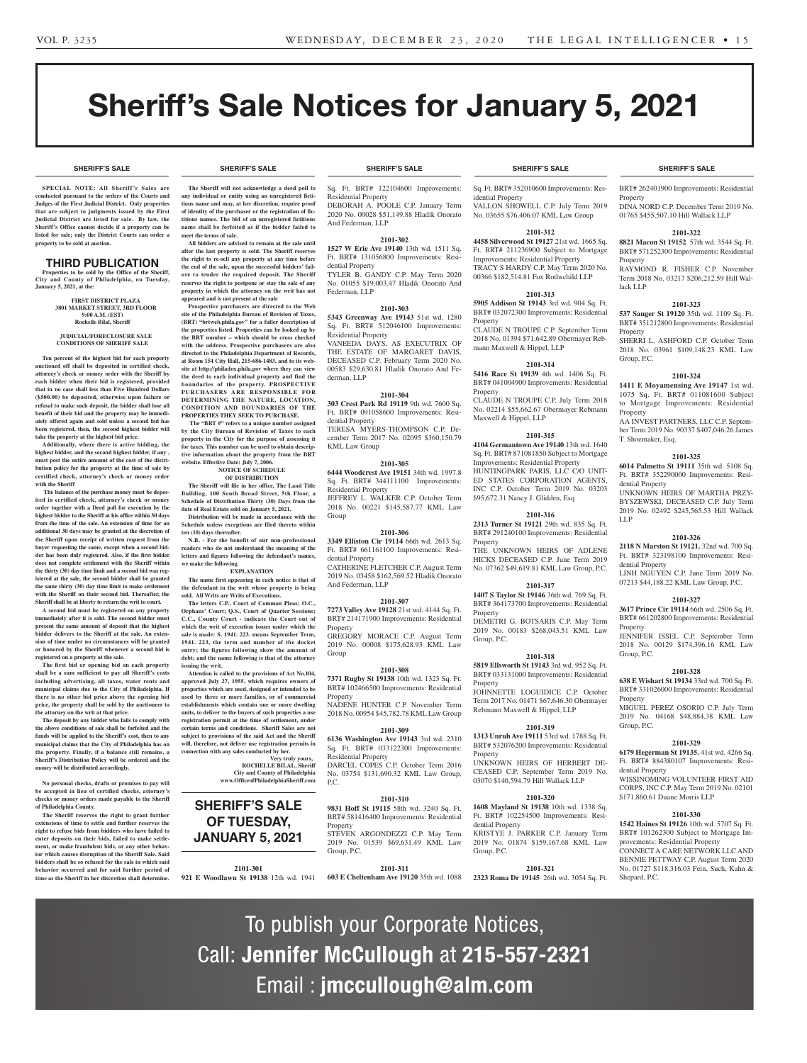# Sheriff's Sale Notices for January 5, 2021

**SHERIFF'S SALE SHERIFF'S SALE SHERIFF'S SALE SHERIFF'S SALE SHERIFF'S SALE**

**SPECIAL NOTE: All Sheriff 's Sales are conducted pursuant to the orders of the Courts and Judges of the First Judicial District. Only properties that are subject to judgments issued by the First Judicial District are listed for sale. By law, the Sheriff's Office cannot decide if a property can be listed for sale; only the District Courts can order a property to be sold at auction.** 

#### THIRD PUBLICATION

**Properties to be sold by the Office of the Sheriff, City and County of Philadelphia, on Tuesday, January 5, 2021, at the:** 

> **FIRST DISTRICT PLAZA 3801 MARKET STREET, 3RD FLOOR 9:00 A.M. (EST) Rochelle Bilal, Sheriff**

#### **JUDICIAL/FORECLOSURE SALE CONDITIONS OF SHERIFF SALE**

**Ten percent of the highest bid for each property auctioned off shall be deposited in certified check, attorney's check or money order with the Sheriff by each bidder when their bid is registered, provided that in no case shall less than Five Hundred Dollars (\$500.00) be deposited, otherwise upon failure or refusal to make such deposit, the bidder shall lose all benefit of their bid and the property may be immediately offered again and sold unless a second bid has been registered, then, the second highest bidder will take the property at the highest bid price.**

**Additionally, where there is active bidding, the highest bidder, and the second highest bidder, if any , must post the entire amount of the cost of the distribution policy for the property at the time of sale by certified check, attorney's check or money order with the Sheriff**

 **The balance of the purchase money must be deposited in certified check, attorney's check or money order together with a Deed poll for execution by the highest bidder to the Sheriff at his office within 30 days from the time of the sale. An extension of time for an additional 30 days may be granted at the discretion of the Sheriff upon receipt of written request from the buyer requesting the same, except when a second bidder has been duly registered. Also, if the first bidder does not complete settlement with the Sheriff within the thirty (30) day time limit and a second bid was registered at the sale, the second bidder shall be granted the same thirty (30) day time limit to make settlement with the Sheriff on their second bid. Thereafter, the Sheriff shall be at liberty to return the writ to court.**

**A second bid must be registered on any property immediately after it is sold. The second bidder must present the same amount of deposit that the highest bidder delivers to the Sheriff at the sale. An extension of time under no circumstances will be granted or honored by the Sheriff whenever a second bid is registered on a property at the sale.** 

**The first bid or opening bid on each property shall be a sum sufficient to pay all Sheriff's costs including advertising, all taxes, water rents and municipal claims due to the City of Philadelphia. If there is no other bid price above the opening bid price, the property shall be sold by the auctioneer to the attorney on the writ at that price.**

**The deposit by any bidder who fails to comply with the above conditions of sale shall be forfeited and the funds will be applied to the Sheriff's cost, then to any municipal claims that the City of Philadelphia has on the property. Finally, if a balance still remains, a Sheriff's Distribution Policy will be ordered and the money will be distributed accordingly.**

**No personal checks, drafts or promises to pay will be accepted in lieu of certified checks, attorney's checks or money orders made payable to the Sheriff of Philadelphia County.**

**The Sheriff reserves the right to grant further extensions of time to settle and further reserves the right to refuse bids from bidders who have failed to enter deposits on their bids, failed to make settlement, or make fraudulent bids, or any other behavior which causes disruption of the Sheriff Sale. Said bidders shall be so refused for the sale in which said behavior occurred and for said further period of time as the Sheriff in her discretion shall determine.**

**The Sheriff will not acknowledge a deed poll to any individual or entity using an unregistered fictitious name and may, at her discretion, require proof of identity of the purchaser or the registration of fictitious names. The bid of an unregistered fictitious name shall be forfeited as if the bidder failed to meet the terms of sale.**

**All bidders are advised to remain at the sale until after the last property is sold. The Sheriff reserves the right to re-sell any property at any time before the end of the sale, upon the successful bidders' failure to tender the required deposit. The Sheriff reserves the right to postpone or stay the sale of any property in which the attorney on the writ has not appeared and is not present at the sale**

**Prospective purchasers are directed to the Web site of the Philadelphia Bureau of Revision of Taxes, (BRT) "brtweb.phila.gov" for a fuller description of the properties listed. Properties can be looked up by the BRT number – which should be cross checked with the address. Prospective purchasers are also directed to the Philadelphia Department of Records, at Room 154 City Hall, 215-686-1483, and to its website at http://philadox.phila.gov where they can view the deed to each individual property and find the boundaries of the property. PROSPECTIVE PURCHASERS ARE RESPONSIBLE FOR DETERMINING THE NATURE, LOCATION, CONDITION AND BOUNDARIES OF THE PROPERTIES THEY SEEK TO PURCHASE.**

 **The "BRT #" refers to a unique number assigned by the City Bureau of Revision of Taxes to each property in the City for the purpose of assessing it for taxes. This number can be used to obtain descriptive information about the property from the BRT website. Effective Date: July 7, 2006. NOTICE OF SCHEDULE** 

#### **OF DISTRIBUTION**

**The Sheriff will file in her office, The Land Title Building, 100 South Broad Street, 5th Floor, a Schedule of Distribution Thirty (30) Days from the date of Real Estate sold on January 5, 2021. Distribution will be made in accordance with the** 

**Schedule unless exceptions are filed thereto within ten (10) days thereafter. N.B. - For the benefit of our non-professional** 

**readers who do not understand the meaning of the letters and figures following the defendant's names, we make the following. EXPLANATION**

**The name first appearing in each notice is that of** 

**the defendant in the writ whose property is being sold. All Writs are Writs of Executions. The letters C.P., Court of Common Pleas; O.C.,** 

**Orphans' Court; Q.S., Court of Quarter Sessions; C.C., County Court - indicate the Court out of which the writ of execution issues under which the**  sale is made: S. 1941. 223. means September Term, **1941. 223, the term and number of the docket entry; the figures following show the amount of debt; and the name following is that of the attorney issuing the writ.**

**Attention is called to the provisions of Act No.104, approved July 27, 1955, which requires owners of properties which are used, designed or intended to be used by three or more families, or of commercial establishments which contain one or more dwelling units, to deliver to the buyers of such properties a use registration permit at the time of settlement, under certain terms and conditions. Sheriff Sales are not subject to provisions of the said Act and the Sheriff will, therefore, not deliver use registration permits in connection with any sales conducted by her.**

## **Very truly yours, ROCHELLE BILAL, Sheriff City and County of Philadelphia www.OfficeofPhiladelphiaSheriff.com**

**SHERIFF'S SALE OF TUESDAY, JANUARY 5, 2021**

**2101-301**

#### **SHERIFF'S SALE SHERIFF'S SALE SHERIFF'S SALE SHERIFF'S SALE SHERIFF'S SALE**

Sq. Ft. BRT# 122104600 Improvements: Residential Property DEBORAH A. POOLE C.P. January Term 2020 No. 00028 \$51,149.88 Hladik Onorato And Federman, LLP

#### **2101-302**

**1527 W Erie Ave 19140** 13th wd. 1511 Sq. Ft. BRT# 131056800 Improvements: Residential Property TYLER B. GANDY C.P. May Term 2020 No. 01055 \$19,003.47 Hladik Onorato And Federman, LLP

#### **2101-303**

**5343 Greenway Ave 19143** 51st wd. 1280 Sq. Ft. BRT# 512046100 Improvements: Residential Property VANEEDA DAYS, AS EXECUTRIX OF THE ESTATE OF MARGARET DAVIS, DECEASED C.P. February Term 2020 No. 00583 \$29,630.81 Hladik Onorato And Federman, LLP

#### **2101-304**

**303 Crest Park Rd 19119** 9th wd. 7600 Sq. Ft. BRT# 091058600 Improvements: Residential Property TERESA MYERS-THOMPSON C.P. De-

cember Term 2017 No. 02095 \$360,150.79 KML Law Group

#### **2101-305**

**6444 Woodcrest Ave 19151** 34th wd. 1997.8 Sq. Ft. BRT# 344111100 Improvements: Residential Property JEFFREY L. WALKER C.P. October Term 2018 No. 00221 \$145,587.77 KML Law

#### **2101-306**

Group

And Federman, LLP

**3349 Elliston Cir 19114** 66th wd. 2613 Sq. Ft. BRT# 661161100 Improvements: Residential Property CATHERINE FLETCHER C.P. August Term 2019 No. 03458 \$162,569.52 Hladik Onorato

#### **2101-307**

**7273 Valley Ave 19128** 21st wd. 4144 Sq. Ft. BRT# 214171900 Improvements: Residential **Property** 

GREGORY MORACE C.P. August Term 2019 No. 00008 \$175,628.93 KML Law Group

#### **2101-308**

**7371 Rugby St 19138** 10th wd. 1323 Sq. Ft. BRT# 102466500 Improvements: Residential Property NADENE HUNTER C.P. November Term

2018 No. 00954 \$45,782.78 KML Law Group

#### **2101-309**

**6136 Washington Ave 19143** 3rd wd. 2310 Sq. Ft. BRT# 033122300 Improvements: Residential Property DARCEL COPES C.P. October Term 2016 No. 03754 \$131,690.32 KML Law Group, P.C.

#### **2101-310**

**9831 Hoff St 19115** 58th wd. 3240 Sq. Ft. BRT# 581416400 Improvements: Residential **Property** 

STEVEN ARGONDEZZI C.P. May Term

2019 No. 01539 \$69.631.49 KML Law

Group, P.C.

**2101-311**

To publish your Corporate Notices,

Call: Jennifer McCullough at 215-557-2321

Email : jmccullough@alm.com

Sq. Ft. BRT# 352010600 Improvements: Residential Property

VALLON SHOWELL C.P. July Term 2019 No. 03655 \$76,406.07 KML Law Group

#### **2101-312**

**4458 Silverwood St 19127** 21st wd. 1665 Sq. Ft. BRT# 211236900 Subject to Mortgage Improvements: Residential Property TRACY S HARDY C.P. May Term 2020 No. 00366 \$182,514.81 Fox Rothschild LLP

#### **2101-313**

**5905 Addison St 19143** 3rd wd. 904 Sq. Ft. BRT# 032072300 Improvements: Residential Property

CLAUDE N TROUPE C.P. September Term 2018 No. 01394 \$71,642.89 Obermayer Rebmann Maxwell & Hippel, LLP

#### **2101-314**

**5416 Race St 19139** 4th wd. 1406 Sq. Ft. BRT# 041004900 Improvements: Residential Property

CLAUDE N TROUPE C.P. July Term 2018 No. 02214 \$55,662.67 Obermayer Rebmann Maxwell & Hippel, LLP

#### **2101-315**

**4104 Germantown Ave 19140** 13th wd. 1640 Sq. Ft. BRT# 871081850 Subject to Mortgage Improvements: Residential Property HUNTINGPARK PARIS, LLC C/O UNIT-ED STATES CORPORATION AGENTS, INC C.P. October Term 2019 No. 03203 \$95,672.31 Nancy J. Glidden, Esq

**2101-316 2313 Turner St 19121** 29th wd. 835 Sq. Ft.

BRT# 291240100 Improvements: Residential Property THE UNKNOWN HEIRS OF ADLENE

HICKS DECEASED C.P. June Term 2019 No. 07362 \$49,619.81 KML Law Group, P.C. **2101-317**

#### **1407 S Taylor St 19146** 36th wd. 769 Sq. Ft.

BRT# 364173700 Improvements: Residential **Property** DEMETRI G. BOTSARIS C.P. May Term

2019 No. 00183 \$268,043.51 KML Law Group, P.C.

#### **2101-318**

**5819 Ellsworth St 19143** 3rd wd. 952 Sq. Ft. BRT# 033131000 Improvements: Residential Property

JOHNNETTE LOGUIDICE C.P. October Term 2017 No. 01471 \$67,646.30 Obermayer Rebmann Maxwell & Hippel, LLP

#### **2101-319 1313 Unruh Ave 19111** 53rd wd. 1788 Sq. Ft.

BRT# 532076200 Improvements: Residential Property

UNKNOWN HEIRS OF HERBERT DE-CEASED C.P. September Term 2019 No. 03070 \$140,594.79 Hill Wallack LLP

### **2101-320**

**1608 Mayland St 19138** 10th wd. 1338 Sq. Ft. BRT# 102254500 Improvements: Residential Property KRISTYE J. PARKER C.P. January Term

2019 No. 01874 \$159,167.68 KML Law Group, P.C.

**921 E Woodlawn St 19138** 12th wd. 1941 **603 E Cheltenham Ave 19120** 35th wd. 1088 **2323 Roma Dr 19145** 26th wd. 3054 Sq. Ft. **2101-321**

BRT# 262401900 Improvements: Residential Property

DINA NORD C.P. December Term 2019 No. 01765 \$455,507.10 Hill Wallack LLP

#### **2101-322**

**8821 Macon St 19152** 57th wd. 3544 Sq. Ft. BRT# 571252300 Improvements: Residential Property

RAYMOND R. FISHER C.P. November Term 2018 No. 03217 \$206,212.59 Hill Wallack LLP

#### **2101-323**

**537 Sanger St 19120** 35th wd. 1109 Sq. Ft. BRT# 351212800 Improvements: Residential Property

SHERRI L. ASHFORD C.P. October Term 2018 No. 03961 \$109,148.23 KML Law Group, P.C.

#### **2101-324**

T. Shoemaker, Esq.

dential Property

dential Property

Property

Group, P.C.

Property

Group, P.C.

dential Property

Shepard, P.C.

LLP

**1411 E Moyamensing Ave 19147** 1st wd. 1075 Sq. Ft. BRT# 011081600 Subject to Mortgage Improvements: Residential Property

AA INVEST PARTNERS, LLC C.P. September Term 2019 No. 90337 \$407,046.26 James

**2101-325 6014 Palmetto St 19111** 35th wd. 5108 Sq. Ft. BRT# 352290000 Improvements: Resi-

UNKNOWN HEIRS OF MARTHA PRZY-BYSZEWSKI, DECEASED C.P. July Term 2019 No. 02492 \$245,565.53 Hill Wallack

**2101-326 2118 N Marston St 19121.** 32nd wd. 700 Sq. Ft. BRT# 323198100 Improvements: Resi-

LINH NGUYEN C.P. June Term 2019 No. 07213 \$44,188.22 KML Law Group, P.C. **2101-327 3617 Prince Cir 19114** 66th wd. 2506 Sq. Ft. BRT# 661202800 Improvements: Residential

JENNIFER ISSEL C.P. September Term 2018 No. 00129 \$174,396.16 KML Law

**2101-328 638 E Wishart St 19134** 33rd wd. 700 Sq. Ft. BRT# 331026000 Improvements: Residential

MIGUEL PEREZ OSORIO C.P. July Term 2019 No. 04168 \$48,884.38 KML Law

**2101-329 6179 Hegerman St 19135.** 41st wd. 4266 Sq. Ft. BRT# 884380107 Improvements: Resi-

WISSINOMING VOLUNTEER FIRST AID CORPS, INC C.P. May Term 2019 No. 02101

**2101-330 1542 Haines St 19126** 10th wd. 5707 Sq. Ft. BRT# 101262300 Subject to Mortgage Improvements: Residential Property

CONNECT A CARE NETWORK LLC AND BENNIE PETTWAY C.P. August Term 2020 No. 01727 \$118,316.03 Fein, Such, Kahn &

\$171,860.61 Duane Morris LLP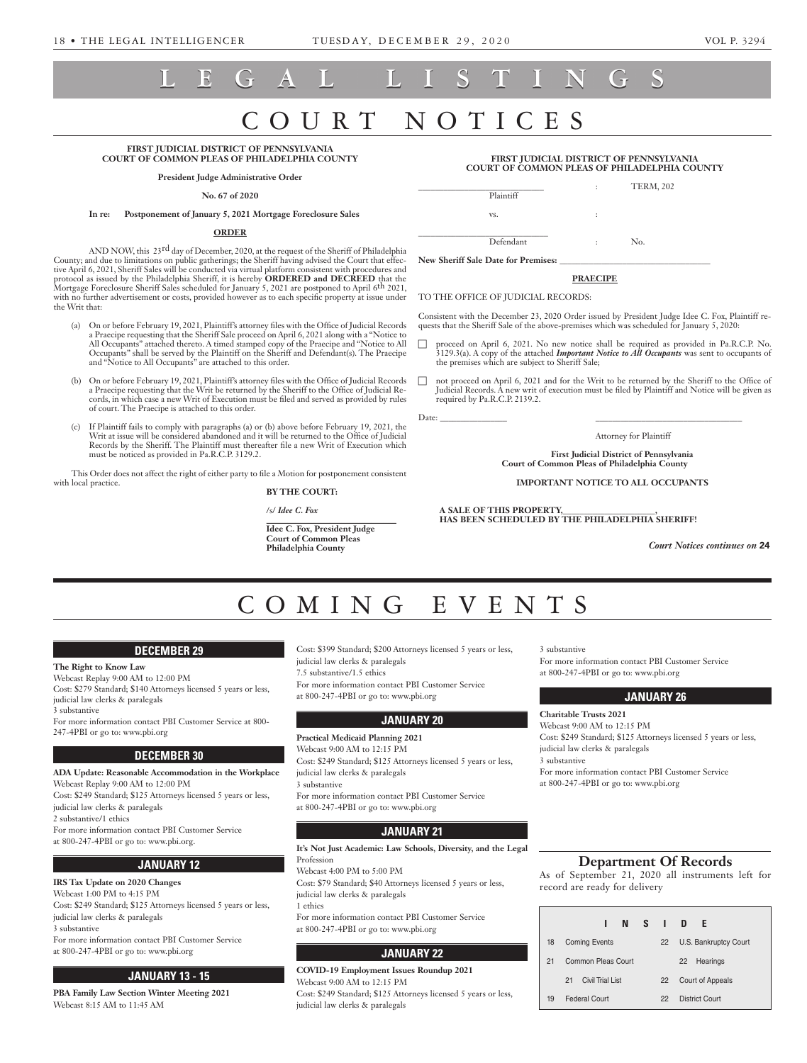# **LEGAL LISTINGS**

# URT NOT

#### **FIRST JUDICIAL DISTRICT OF PENNSYLVANIA COURT OF COMMON PLEAS OF PHILADELPHIA COUNTY**

**President Judge Administrative Order**

#### **No. 67 of 2020**

#### **In re: Postponement of January 5, 2021 Mortgage Foreclosure Sales**

#### **ORDER**

AND NOW, this 23<sup>rd</sup> day of December, 2020, at the request of the Sheriff of Philadelphia County; and due to limitations on public gatherings; the Sheriff having advised the Court that effective April 6, 2021, Sheriff Sales will be conducted via virtual platform consistent with procedures and protocol as issued by the Philadelphia Sheriff, it is hereby **ORDERED and DECREED** that the Mortgage Foreclosure Sheriff Sales scheduled for January 5, 2021 are postponed to April 6th 2021, with no further advertisement or costs, provided however as to each specific property at issue under the Writ that:

- (a) On or before February 19, 2021, Plaintiff's attorney files with the Office of Judicial Records a Praecipe requesting that the Sheriff Sale proceed on April 6, 2021 along with a "Notice to All Occupants" attached thereto. A timed stamped copy of the Praecipe and "Notice to All Occupants" shall be served by the Plaintiff on the Sheriff and Defendant(s). The Praecipe and "Notice to All Occupants" are attached to this order.
- (b) On or before February 19, 2021, Plaintiff's attorney files with the Office of Judicial Records a Praecipe requesting that the Writ be returned by the Sheriff to the Office of Judicial Records, in which case a new Writ of Execution must be filed and served as provided by rules of court. The Praecipe is attached to this order.
- (c) If Plaintiff fails to comply with paragraphs (a) or (b) above before February 19, 2021, the Writ at issue will be considered abandoned and it will be returned to the Office of Judicial Records by the Sheriff. The Plaintiff must thereafter file a new Writ of Execution which must be noticed as provided in Pa.R.C.P. 3129.2.

This Order does not affect the right of either party to file a Motion for postponement consistent with local practice.

**BY THE COURT:** 

/s/ *Idee C. Fox*

 *\_\_\_\_\_\_\_\_\_\_\_\_\_\_\_\_\_\_\_\_\_\_\_\_\_\_\_\_\_\_\_* **Idee C. Fox, President Judge Court of Common Pleas Philadelphia County** 

#### **FIRST JUDICIAL DISTRICT OF PENNSYLVANIA COURT OF COMMON PLEAS OF PHILADELPHIA COUNTY**

| Plaintiff | ÷                    | <b>TERM, 202</b> |  |
|-----------|----------------------|------------------|--|
| VS.       | $\ddot{\cdot}$       |                  |  |
| Defendant | $\ddot{\phantom{a}}$ | No.              |  |

New Sheriff Sale Date for Premises:

#### **PRAECIPE**

TO THE OFFICE OF JUDICIAL RECORDS:

Consistent with the December 23, 2020 Order issued by President Judge Idee C. Fox, Plaintiff requests that the Sheriff Sale of the above-premises which was scheduled for January 5, 2020:

- proceed on April 6, 2021. No new notice shall be required as provided in Pa.R.C.P. No. 3129.3(a). A copy of the attached *Important Notice to All Occupants* was sent to occupants of the premises which are subject to Sheriff Sale;
- $\Box$  not proceed on April 6, 2021 and for the Writ to be returned by the Sheriff to the Office of Judicial Records. A new writ of execution must be filed by Plaintiff and Notice will be given as required by Pa.R.C.P. 2139.2.

Date: \_\_\_\_\_\_\_\_\_\_\_\_\_\_\_\_ \_\_\_\_\_\_\_\_\_\_\_\_\_\_\_\_\_\_\_\_\_\_\_\_\_\_\_\_\_\_\_\_\_\_\_

**First Judicial District of Pennsylvania Court of Common Pleas of Philadelphia County**

Attorney for Plaintiff

**IMPORTANT NOTICE TO ALL OCCUPANTS**

**A SALE OF THIS PROPERTY,\_\_\_\_\_\_\_\_\_\_\_\_\_\_\_\_\_\_\_\_\_\_, HAS BEEN SCHEDULED BY THE PHILADELPHIA SHERIFF!**

*Court Notices continues on* **24**

## COMING EVEN

#### **DECEMBER 29**

**The Right to Know Law** Webcast Replay 9:00 AM to 12:00 PM Cost: \$279 Standard; \$140 Attorneys licensed 5 years or less, judicial law clerks & paralegals 3 substantive For more information contact PBI Customer Service at 800-

247-4PBI or go to: www.pbi.org

#### **DECEMBER 30**

**ADA Update: Reasonable Accommodation in the Workplace** Webcast Replay 9:00 AM to 12:00 PM Cost: \$249 Standard; \$125 Attorneys licensed 5 years or less, judicial law clerks & paralegals 2 substantive/1 ethics For more information contact PBI Customer Service at 800-247-4PBI or go to: www.pbi.org.

### **JANUARY 12**

**IRS Tax Update on 2020 Changes**  Webcast 1:00 PM to 4:15 PM Cost: \$249 Standard; \$125 Attorneys licensed 5 years or less, judicial law clerks & paralegals 3 substantive For more information contact PBI Customer Service at 800-247-4PBI or go to: www.pbi.org

### **JANUARY 13 - 15**

**PBA Family Law Section Winter Meeting 2021**  Webcast 8:15 AM to 11:45 AM

Cost: \$399 Standard; \$200 Attorneys licensed 5 years or less, judicial law clerks & paralegals

7.5 substantive/1.5 ethics

For more information contact PBI Customer Service at 800-247-4PBI or go to: www.pbi.org

#### **JANUARY 20**

**Practical Medicaid Planning 2021** Webcast 9:00 AM to 12:15 PM Cost: \$249 Standard; \$125 Attorneys licensed 5 years or less, judicial law clerks & paralegals 3 substantive For more information contact PBI Customer Service at 800-247-4PBI or go to: www.pbi.org

#### **JANUARY 21**

**It's Not Just Academic: Law Schools, Diversity, and the Legal**  Profession

Webcast 4:00 PM to 5:00 PM Cost: \$79 Standard; \$40 Attorneys licensed 5 years or less, judicial law clerks & paralegals 1 ethics

For more information contact PBI Customer Service at 800-247-4PBI or go to: www.pbi.org

#### **JANUARY 22**

**COVID-19 Employment Issues Roundup 2021** Webcast 9:00 AM to 12:15 PM Cost: \$249 Standard; \$125 Attorneys licensed 5 years or less, judicial law clerks & paralegals

3 substantive

For more information contact PBI Customer Service at 800-247-4PBI or go to: www.pbi.org

#### **JANUARY 26**

**Charitable Trusts 2021**  Webcast 9:00 AM to 12:15 PM Cost: \$249 Standard; \$125 Attorneys licensed 5 years or less, judicial law clerks & paralegals 3 substantive For more information contact PBI Customer Service at 800-247-4PBI or go to: www.pbi.org

#### **Department Of Records**

As of September 21, 2020 all instruments left for record are ready for delivery

|    | NSI D<br>1              |    | F.                    |
|----|-------------------------|----|-----------------------|
| 18 | <b>Coming Events</b>    | 22 | U.S. Bankruptcy Court |
| 21 | Common Pleas Court      |    | Hearings<br>22        |
|    | Civil Trial I ist<br>21 | 22 | Court of Appeals      |
| 19 | <b>Federal Court</b>    | 22 | District Court        |